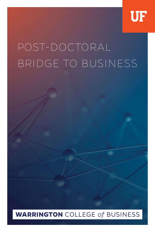

## POST-DOCTORAL BRIDGE TO BUSINESS

## **WARRINGTON** COLLEGE of BUSINESS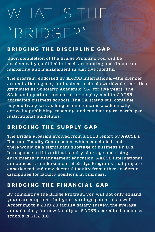# WHAT IS THE "BRIDGE?"

### **BRIDGING THE DISCIPLINE GAP**

Upon completion of the Bridge Program, you will be academically qualified to teach accounting and finance or marketing and management in just five months.

The program, endorsed by AACSB International—the premier accreditation agency for business schools worldwide—certifies graduates as Scholarly Academic (SA) for five years. The SA is an important credential for employment in AACSBaccredited business schools. The SA status will continue beyond five years as long as one remains academically active by publishing, teaching, and conducting research, per institutional guidelines.

### **BRIDGING THE SUPPLY GAP**

The Bridge Program evolved from a 2003 report by AACSB's Doctoral Faculty Commission, which concluded that there would be a significant shortage of business Ph.D.'s. In response to this critical faculty shortage and rising enrollments in management education, AACSB International announced its endorsement of Bridge Programs that prepare experienced and new doctoral faculty from other academic disciplines for faculty positions in business.

## **BRIDGING THE FINANCIAL GAP**

By completing the Bridge Program, you will not only expand your career options, but your earnings potential as well. According to a 2019-20 faculty salary survey, the average annual salary for new faculty at AACSB-accredited business schools is \$132,310.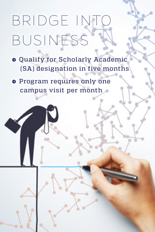## BRIDGE INT BUSINESS

→ Qualify for Scholarly Academic (SA) designation in five months

● Program requires only one campus visit per month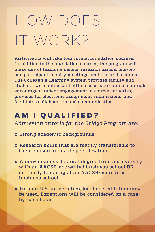## HOW DOES IT WORK?

Participants will take four formal foundation courses. In addition to the foundation courses, the program will make use of teaching panels, research panels, one-onone participant-faculty meetings, and research seminars. The College's e-Learning system provides faculty and students with online and offline access to course materials, encourages student engagement in course activities, provides for electronic assignment submissions, and facilitates collaboration and communication.

## **AM I QUALIFIED?**

*Admission criteria for the Bridge Program are:*

- Strong academic backgrounds
- → Research skills that are readily transferable to their chosen areas of specialization
- A non-business doctoral degree from a university with an AACSB-accredited business school OR currently teaching at an AACSB-accredited business school
- For non-U.S. universities, local accreditation may be used. Exceptions will be considered on a caseby-case basis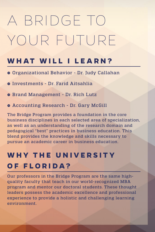## A BRIDGE TO YOUR FUTURE

## **WHAT WILL I LEARN?**

- → Organizational Behavior Dr. Judy Callahan
- o Investments Dr. Farid Aitsahlia
- → Brand Management Dr. Rich Lutz
- → Accounting Research Dr. Gary McGill

The Bridge Program provides a foundation in the core business disciplines in each selected area of specialization, as well as an understanding of the research domain and pedagogical "best" practices in business education. This blend provides the knowledge and skills necessary to pursue an academic career in business education.

## WHY THE UNIVERSITY **OF FLORIDA?**

Our professors in the Bridge Program are the same highquality faculty that teach in our world-recognized MBA program and mentor our doctoral students. These thought leaders possess the academic excellence and professional experience to provide a holistic and challenging learning environment.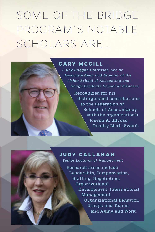SOME OF THE BRIDGE PROGRAM'S NOTABLE SCHOLARS ARE…

#### **GARY MCGILL**

*J. Roy Duggan Professor, Senior Associate Dean and Director of the Fisher School of Accounting and Hough Graduate School of Business*

> Recognized for his distinguished contributions to the Federation of Schools of Accountancy with the organization's Joseph A. Silvoso Faculty Merit Award.

### **JUDY CALLAHAN**

*Senior Lecturer of Management*

Research areas include Leadership, Compensation, Staffing, Negotiation, Organizational Development, International Management, Organizational Behavior, Groups and Teams, and Aging and Work.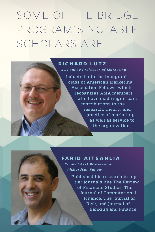SOME OF THE BRIDGE PROGRAM'S NOTABLE SCHOLARS ARE…

#### **RICHARD LUTZ**

*JC Penney Professor of Marketing*

Inducted into the inaugural class of American Marketing Association Fellows, which recognizes AMA members who have made significant contributions to the research, theory, and practice of marketing, as well as service to the organization.

#### **FARID AITSAHLIA**

*Clinical Asst Professor & Richardson Fellow*

> Published his research in top tier journals like The Review of Financial Studies, The Journal of Computational Finance, The Journal of Risk, and Journal of Banking and Finance.